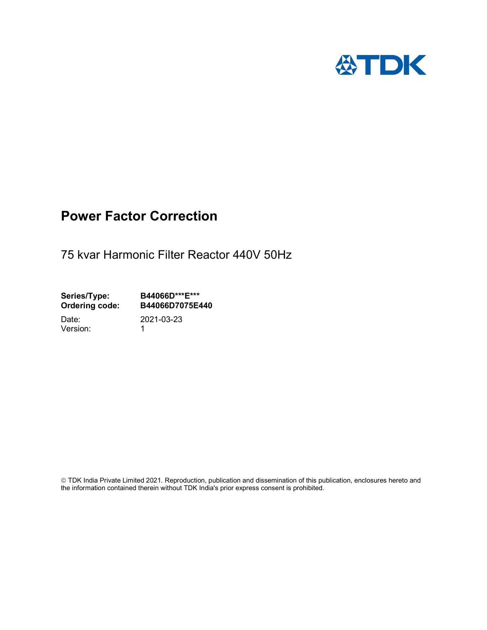

# Power Factor Correction

75 kvar Harmonic Filter Reactor 440V 50Hz

Series/Type: B44066D\*\*\*E\*\*\*<br>Ordering code: B44066D7075E4 B44066D7075E440

Version: 1

Date: 2021-03-23

 TDK India Private Limited 2021. Reproduction, publication and dissemination of this publication, enclosures hereto and the information contained therein without TDK India's prior express consent is prohibited.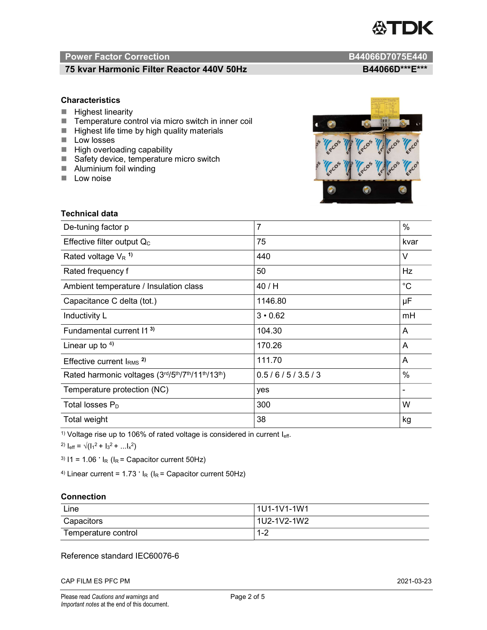

# Power Factor Correction and Content of the Content of the B44066D7075E440

# 75 kvar Harmonic Filter Reactor 440V 50Hz BA4060 B44066D\*\*\*E\*\*\*

## **Characteristics**

- $H$  Highest linearity
- Temperature control via micro switch in inner coil
- $\blacksquare$  Highest life time by high quality materials
- **Low losses**
- $\blacksquare$  High overloading capability
- Safety device, temperature micro switch
- **Aluminium foil winding**
- **Low noise**



| Technical data                                  |                |                          |  |
|-------------------------------------------------|----------------|--------------------------|--|
| De-tuning factor p                              | $\overline{7}$ | $\%$                     |  |
| Effective filter output $Q_C$                   | 75             | kvar                     |  |
| Rated voltage $V_R$ <sup>1)</sup>               | 440            | V                        |  |
| Rated frequency f                               | 50             | Hz                       |  |
| Ambient temperature / Insulation class          | 40 / H         | $^{\circ}C$              |  |
| Capacitance C delta (tot.)                      | 1146.80        | μF                       |  |
| Inductivity L                                   | $3 \cdot 0.62$ | mH                       |  |
| Fundamental current 11 <sup>3)</sup>            | 104.30         | A                        |  |
| Linear up to $4$ )                              | 170.26         | A                        |  |
| Effective current $IRMS$ <sup>2)</sup>          | 111.70         | A                        |  |
| Rated harmonic voltages (3rd/5th/7th/11th/13th) | 0.5/6/5/3.5/3  | %                        |  |
| Temperature protection (NC)                     | yes            | $\overline{\phantom{0}}$ |  |
| Total losses $P_D$                              | 300            | W                        |  |
| Total weight                                    | 38             | kg                       |  |

<sup>1)</sup> Voltage rise up to 106% of rated voltage is considered in current  $I_{\text{eff}}$ .

<sup>2)</sup>  $I_{eff} = \sqrt{(I_1^2 + I_3^2 + ... I_x^2)}$ 

<sup>3)</sup>  $11 = 1.06$   $\cdot$   $I_R$  ( $I_R$  = Capacitor current 50Hz)

<sup>4)</sup> Linear current =  $1.73$   $\cdot$  I<sub>R</sub> (I<sub>R</sub> = Capacitor current 50Hz)

#### **Connection**

| Line                | l 1U1-1V1-1W1       |
|---------------------|---------------------|
| Capacitors          | l 1U2-1V2-1W2       |
| Temperature control | <u> 4 ຕ</u><br>ے- ا |

## Reference standard IEC60076-6

CAP FILM ES PFC PM 2021-03-23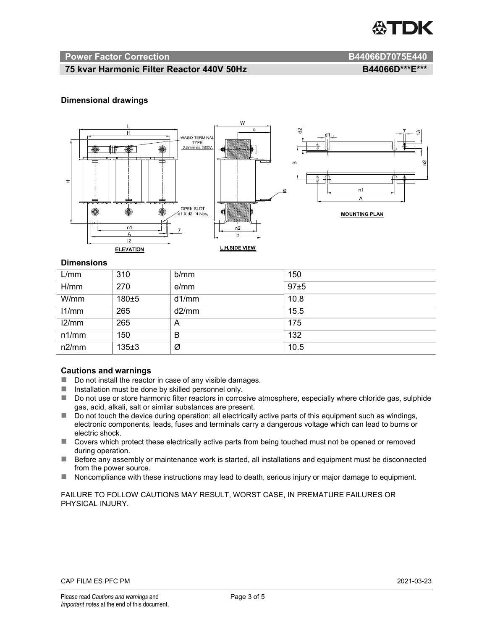

#### Power Factor Correction **B44066D7075E440**

# 75 kvar Harmonic Filter Reactor 440V 50Hz B44066D\*\*\*E\*\*\*

#### Dimensional drawings



#### **Dimensions**

| L/mm  | 310       | b/mm  | 150  |
|-------|-----------|-------|------|
| H/mm  | 270       | e/mm  | 97±5 |
| W/mm  | 180±5     | d1/mm | 10.8 |
| 11/mm | 265       | d2/mm | 15.5 |
| 12/mm | 265       | A     | 175  |
| n1/mm | 150       | B     | 132  |
| n2/mm | $135 + 3$ | Ø     | 10.5 |

#### Cautions and warnings

- Do not install the reactor in case of any visible damages.
- $\blacksquare$  Installation must be done by skilled personnel only.
- Do not use or store harmonic filter reactors in corrosive atmosphere, especially where chloride gas, sulphide gas, acid, alkali, salt or similar substances are present.
- Do not touch the device during operation: all electrically active parts of this equipment such as windings, electronic components, leads, fuses and terminals carry a dangerous voltage which can lead to burns or electric shock.
- Covers which protect these electrically active parts from being touched must not be opened or removed during operation.
- Before any assembly or maintenance work is started, all installations and equipment must be disconnected from the power source.
- Noncompliance with these instructions may lead to death, serious injury or major damage to equipment.

FAILURE TO FOLLOW CAUTIONS MAY RESULT, WORST CASE, IN PREMATURE FAILURES OR PHYSICAL INJURY.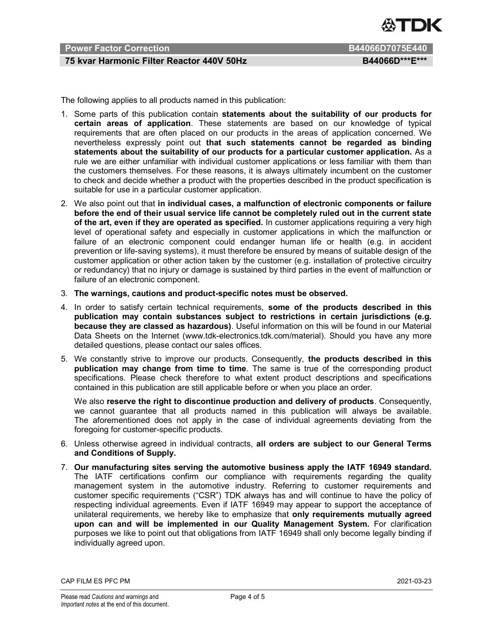

## Power Factor Correction **B44066D7075E440**

# 75 kvar Harmonic Filter Reactor 440V 50Hz BA4066D\*\*\*E\*\*\*

The following applies to all products named in this publication:

- 1. Some parts of this publication contain statements about the suitability of our products for certain areas of application. These statements are based on our knowledge of typical requirements that are often placed on our products in the areas of application concerned. We nevertheless expressly point out that such statements cannot be regarded as binding statements about the suitability of our products for a particular customer application. As a rule we are either unfamiliar with individual customer applications or less familiar with them than the customers themselves. For these reasons, it is always ultimately incumbent on the customer to check and decide whether a product with the properties described in the product specification is suitable for use in a particular customer application.
- 2. We also point out that in individual cases, a malfunction of electronic components or failure before the end of their usual service life cannot be completely ruled out in the current state of the art, even if they are operated as specified. In customer applications requiring a very high level of operational safety and especially in customer applications in which the malfunction or failure of an electronic component could endanger human life or health (e.g. in accident prevention or life-saving systems), it must therefore be ensured by means of suitable design of the customer application or other action taken by the customer (e.g. installation of protective circuitry or redundancy) that no injury or damage is sustained by third parties in the event of malfunction or failure of an electronic component.
- 3. The warnings, cautions and product-specific notes must be observed.
- 4. In order to satisfy certain technical requirements, some of the products described in this publication may contain substances subject to restrictions in certain jurisdictions (e.g. because they are classed as hazardous). Useful information on this will be found in our Material Data Sheets on the Internet (www.tdk-electronics.tdk.com/material). Should you have any more detailed questions, please contact our sales offices.
- 5. We constantly strive to improve our products. Consequently, the products described in this publication may change from time to time. The same is true of the corresponding product specifications. Please check therefore to what extent product descriptions and specifications contained in this publication are still applicable before or when you place an order.

We also reserve the right to discontinue production and delivery of products. Consequently, we cannot guarantee that all products named in this publication will always be available. The aforementioned does not apply in the case of individual agreements deviating from the foregoing for customer-specific products.

- 6. Unless otherwise agreed in individual contracts, all orders are subject to our General Terms and Conditions of Supply.
- 7. Our manufacturing sites serving the automotive business apply the IATF 16949 standard. The IATF certifications confirm our compliance with requirements regarding the quality management system in the automotive industry. Referring to customer requirements and customer specific requirements ("CSR") TDK always has and will continue to have the policy of respecting individual agreements. Even if IATF 16949 may appear to support the acceptance of unilateral requirements, we hereby like to emphasize that only requirements mutually agreed upon can and will be implemented in our Quality Management System. For clarification purposes we like to point out that obligations from IATF 16949 shall only become legally binding if individually agreed upon.